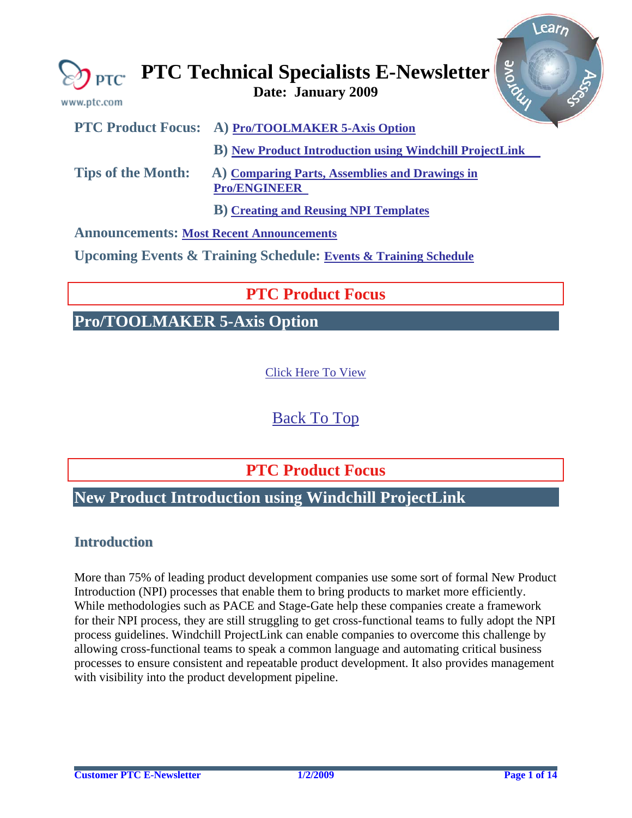<span id="page-0-0"></span>

| www.ptc.com                                     | avove<br>$\bigotimes_{\text{PTC}}$ PTC Technical Specialists E-Newsletter      |
|-------------------------------------------------|--------------------------------------------------------------------------------|
|                                                 | PTC Product Focus: A) Pro/TOOLMAKER 5-Axis Option                              |
|                                                 | <b>B</b> ) New Product Introduction using Windchill ProjectLink                |
| <b>Tips of the Month:</b>                       | A) Comparing Parts, Assemblies and Drawings in<br><b>Pro/ENGINEER</b>          |
|                                                 | <b>B</b> ) Creating and Reusing NPI Templates                                  |
| <b>Announcements: Most Recent Announcements</b> |                                                                                |
|                                                 | <b>Upcoming Events &amp; Training Schedule: Events &amp; Training Schedule</b> |

## **PTC Product Focus**

## **Pro/TOOLMAKER 5-Axis Option**

[Click Here To View](http://members.shaw.ca/jpeng/newsletter/PTC_Technical_Specialists_E-Newsletter_01-01-2009_desktop.pdf)

[Back To Top](#page-0-0)

**PTC Product Focus** 

## **New Product Introduction using Windchill ProjectLink**

### **Introduction**

More than 75% of leading product development companies use some sort of formal New Product Introduction (NPI) processes that enable them to bring products to market more efficiently. While methodologies such as PACE and Stage-Gate help these companies create a framework for their NPI process, they are still struggling to get cross-functional teams to fully adopt the NPI process guidelines. Windchill ProjectLink can enable companies to overcome this challenge by allowing cross-functional teams to speak a common language and automating critical business processes to ensure consistent and repeatable product development. It also provides management with visibility into the product development pipeline.

Learn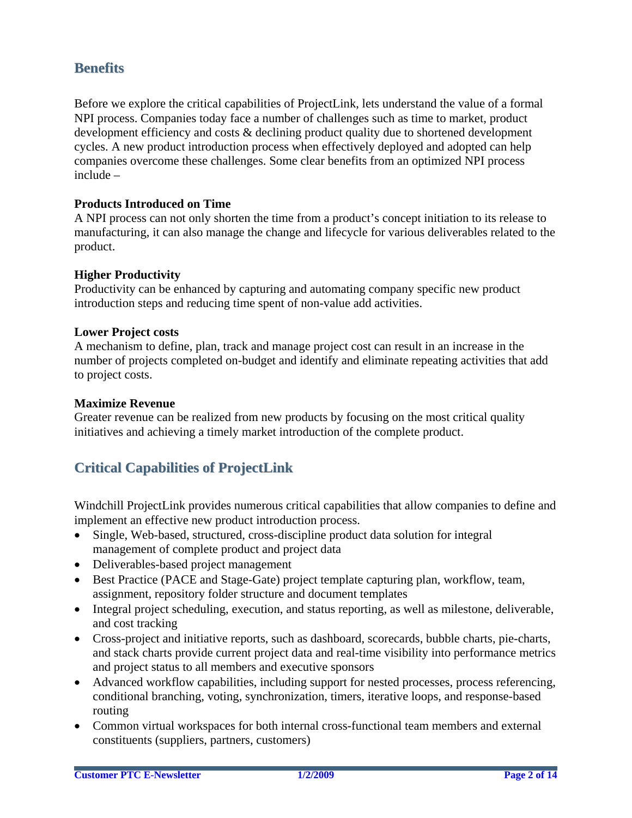### **Benefits**

Before we explore the critical capabilities of ProjectLink, lets understand the value of a formal NPI process. Companies today face a number of challenges such as time to market, product development efficiency and costs & declining product quality due to shortened development cycles. A new product introduction process when effectively deployed and adopted can help companies overcome these challenges. Some clear benefits from an optimized NPI process include –

### **Products Introduced on Time**

A NPI process can not only shorten the time from a product's concept initiation to its release to manufacturing, it can also manage the change and lifecycle for various deliverables related to the product.

#### **Higher Productivity**

Productivity can be enhanced by capturing and automating company specific new product introduction steps and reducing time spent of non-value add activities.

#### **Lower Project costs**

A mechanism to define, plan, track and manage project cost can result in an increase in the number of projects completed on-budget and identify and eliminate repeating activities that add to project costs.

### **Maximize Revenue**

Greater revenue can be realized from new products by focusing on the most critical quality initiatives and achieving a timely market introduction of the complete product.

## **Critical Capabilities of ProjectLink**

Windchill ProjectLink provides numerous critical capabilities that allow companies to define and implement an effective new product introduction process.

- Single, Web-based, structured, cross-discipline product data solution for integral management of complete product and project data
- Deliverables-based project management
- Best Practice (PACE and Stage-Gate) project template capturing plan, workflow, team, assignment, repository folder structure and document templates
- Integral project scheduling, execution, and status reporting, as well as milestone, deliverable, and cost tracking
- Cross-project and initiative reports, such as dashboard, scorecards, bubble charts, pie-charts, and stack charts provide current project data and real-time visibility into performance metrics and project status to all members and executive sponsors
- Advanced workflow capabilities, including support for nested processes, process referencing, conditional branching, voting, synchronization, timers, iterative loops, and response-based routing
- Common virtual workspaces for both internal cross-functional team members and external constituents (suppliers, partners, customers)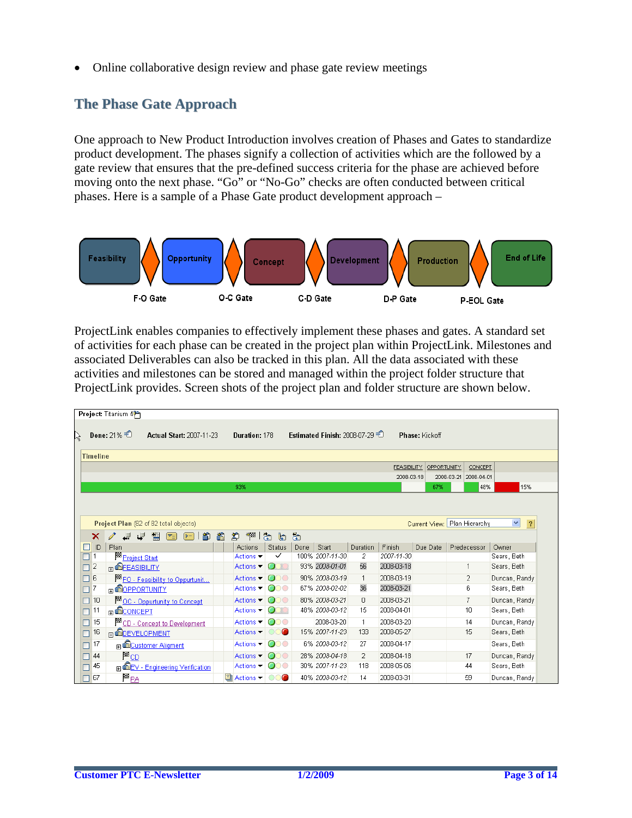• Online collaborative design review and phase gate review meetings

## **The Phase Gate Approach**

One approach to New Product Introduction involves creation of Phases and Gates to standardize product development. The phases signify a collection of activities which are the followed by a gate review that ensures that the pre-defined success criteria for the phase are achieved before moving onto the next phase. "Go" or "No-Go" checks are often conducted between critical phases. Here is a sample of a Phase Gate product development approach –



ProjectLink enables companies to effectively implement these phases and gates. A standard set of activities for each phase can be created in the project plan within ProjectLink. Milestones and associated Deliverables can also be tracked in this plan. All the data associated with these activities and milestones can be stored and managed within the project folder structure that ProjectLink provides. Screen shots of the project plan and folder structure are shown below.

|                                                                                                                                                                                                                          | Project: Titanium 4    |                                  |   |                              |                     |      |                              |                      |                    |                |                          |               |
|--------------------------------------------------------------------------------------------------------------------------------------------------------------------------------------------------------------------------|------------------------|----------------------------------|---|------------------------------|---------------------|------|------------------------------|----------------------|--------------------|----------------|--------------------------|---------------|
| R                                                                                                                                                                                                                        | Done: 21% $\pm$        | <b>Actual Start: 2007-11-23</b>  |   | Duration: 178                |                     |      | Estimated Finish: 2008-07-29 |                      |                    | Phase: Kickoff |                          |               |
| <b>Timeline</b>                                                                                                                                                                                                          |                        |                                  |   |                              |                     |      |                              |                      |                    |                |                          |               |
|                                                                                                                                                                                                                          |                        |                                  |   |                              |                     |      |                              |                      | <b>FEASIBILITY</b> | OPPORTUNITY    | CONCEPT                  |               |
|                                                                                                                                                                                                                          |                        |                                  |   |                              |                     |      |                              |                      | 2008-03-18         |                | 2008-04-01<br>2008-03-21 |               |
|                                                                                                                                                                                                                          |                        |                                  |   | 93%                          |                     |      |                              |                      |                    | 67%            | 48%                      | 15%           |
| $\blacktriangledown$<br>$\overline{\mathcal{L}}$<br>Current View: Plan Hierarchy<br>Project Plan (82 of 82 total objects)<br>合<br>禪<br>ක<br>ක<br>蟈<br>阁<br>D<br>لل<br>lb.<br>×<br>$ \mathbf{v}_\pm $<br>$\triangleright$ |                        |                                  |   |                              |                     |      |                              |                      |                    |                |                          |               |
| ID.                                                                                                                                                                                                                      | Plan                   |                                  |   | Actions                      | <b>Status</b>       | Done | Start                        | <b>Duration</b>      | Finish             | Due Date       | Predecessor              | Owner         |
|                                                                                                                                                                                                                          | Project Start          |                                  |   | Actions $\blacktriangledown$ | $\checkmark$        |      | 100% 2007-11-30              | $\mathbf{2}^{\circ}$ | 2007-11-30         |                |                          | Sears, Beth   |
| 2                                                                                                                                                                                                                        | <b>FI GEEASIBILITY</b> |                                  |   | Actions $\blacktriangledown$ |                     |      | 93% 2008-01-01               | 56                   | 2008-03-18         |                |                          | Sears, Beth   |
| 6                                                                                                                                                                                                                        |                        | FO - Feasibility to Oppurtunit   |   | Actions $\blacktriangledown$ | CC<br>O             |      | 90% 2008-03-19               | $\mathbf{1}$         | 2008-03-19         |                | 2                        | Duncan, Randy |
| 17                                                                                                                                                                                                                       | <b>BOPPORTUNITY</b>    |                                  |   | Actions $\blacktriangledown$ | ooo                 |      | 67% 2008-02-02               | 36                   | 2008-03-21         |                | 6                        | Sears, Beth   |
| 10                                                                                                                                                                                                                       |                        | OC - Oppurtunity to Concept      |   | Actions $\blacktriangledown$ | oo<br>∩             |      | 80% 2008-03-21               | 0                    | 2008-03-21         |                | 7                        | Duncan, Randy |
| 11                                                                                                                                                                                                                       | <b>R</b> CONCEPT       |                                  |   | Actions ▼                    | O<br>n              |      | 48% 2008-03-12               | 15                   | 2008-04-01         |                | $10^{-1}$                | Sears, Beth   |
| 15                                                                                                                                                                                                                       |                        | CD - Concept to Development      |   | Actions $\blacktriangledown$ | 000                 |      | 2008-03-20                   | $\mathbf{1}$         | 2008-03-20         |                | 14                       | Duncan, Randy |
| 16                                                                                                                                                                                                                       | <b>B</b> DEVELOPMENT   |                                  |   | Actions $\blacktriangledown$ | œ                   |      | 15% 2007-11-23               | 133                  | 2008-05-27         |                | 15                       | Sears, Beth   |
| 17                                                                                                                                                                                                                       |                        | <b>E</b> Customer Aligment       |   | Actions $\blacktriangledown$ | ooo                 |      | 6% 2008-03-12                | 27                   | 2008-04-17         |                |                          | Sears, Beth   |
| 44                                                                                                                                                                                                                       | $P_{CD}$               |                                  |   | Actions $\blacktriangledown$ | œ<br>∩              |      | 28% 2008-04-18               | $\overline{2}$       | 2008-04-18         |                | 17                       | Duncan, Randy |
| 45                                                                                                                                                                                                                       |                        | m EEV - Engineering Verification |   | Actions $\blacktriangledown$ | ooo                 |      | 30% 2007-11-23               | 118                  | 2008-05-06         |                | 44                       | Sears, Beth   |
| 67                                                                                                                                                                                                                       | <b>E</b> <sub>PA</sub> |                                  | h | Actions $\blacktriangledown$ | $\circ\circ\bullet$ |      | 40% 2008-03-12               | 14                   | 2008-03-31         |                | 59                       | Duncan, Randy |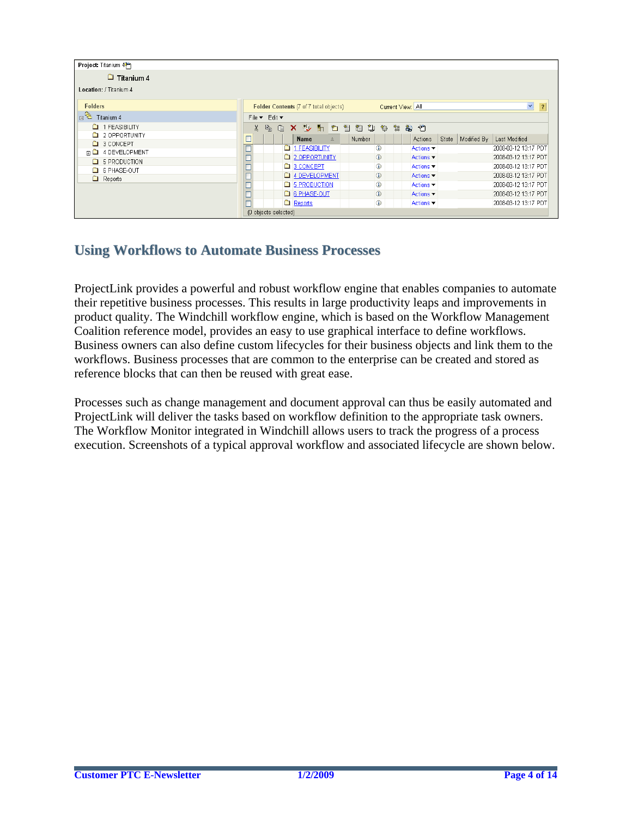| Project: Titanium 4           |    |                      |         |                                        |              |        |                   |   |                              |       |             |                      |                |
|-------------------------------|----|----------------------|---------|----------------------------------------|--------------|--------|-------------------|---|------------------------------|-------|-------------|----------------------|----------------|
| $\Box$ Titanium 4             |    |                      |         |                                        |              |        |                   |   |                              |       |             |                      |                |
| Location: / Titanium 4        |    |                      |         |                                        |              |        |                   |   |                              |       |             |                      |                |
| <b>Folders</b>                |    |                      |         | Folder Contents (7 of 7 total objects) |              |        | Current View: All |   |                              |       |             | $\checkmark$         | $\overline{?}$ |
| $E^{\text{R}}$<br>Titanium 4  |    | File ▼ Edit ▼        |         |                                        |              |        |                   |   |                              |       |             |                      |                |
| <sup>1</sup> 1 FEASIBILITY    | X. | $F_{\rm th}$<br>Ĝ    |         | Ⅹ ⇒ 計 社 智 趋 专                          |              |        | *ঞ                | ▓ | 淘 泊                          |       |             |                      |                |
| 2 OPPORTUNITY                 |    |                      |         | Name                                   | $\triangleq$ | Number |                   |   | Actions                      | State | Modified By | Last Modified        |                |
| <b>C</b> 3 CONCEPT            |    |                      |         | 1 FEASIBILITY                          |              |        | ⊕                 |   | Actions $\blacktriangledown$ |       |             | 2008-03-12 13:17 PDT |                |
| <b>田□ 4 DEVELOPMENT</b>       |    |                      |         | 2 OPPORTUNITY                          |              |        | $^{\circ}$        |   | Actions $\blacktriangledown$ |       |             | 2008-03-12 13:17 PDT |                |
| <b>G</b> 5 PRODUCTION         |    |                      |         | 3 CONCEPT                              |              |        | ⊕                 |   | Actions ▼                    |       |             | 2008-03-12 13:17 PDT |                |
| 6 PHASE-OUT<br>$\Box$ Reports |    |                      |         | 4 DEVELOPMENT                          |              |        | $\circled{0}$     |   | Actions $\blacktriangledown$ |       |             | 2008-03-12 13:17 PDT |                |
|                               |    |                      |         | <b>E</b> 5 PRODUCTION                  |              |        | ⊕                 |   | Actions $\blacktriangledown$ |       |             | 2008-03-12 13:17 PDT |                |
|                               |    |                      |         | G B PHASE-OUT                          |              |        | $^\circledR$      |   | Actions $\blacktriangledown$ |       |             | 2008-03-12 13:17 PDT |                |
|                               |    |                      | Reports |                                        |              |        | $^{\circ}$        |   | Actions ▼                    |       |             | 2008-03-12 13:17 PDT |                |
|                               |    | (0 objects selected) |         |                                        |              |        |                   |   |                              |       |             |                      |                |

## **Using Workflows to Automate Business Processes**

ProjectLink provides a powerful and robust workflow engine that enables companies to automate their repetitive business processes. This results in large productivity leaps and improvements in product quality. The Windchill workflow engine, which is based on the Workflow Management Coalition reference model, provides an easy to use graphical interface to define workflows. Business owners can also define custom lifecycles for their business objects and link them to the workflows. Business processes that are common to the enterprise can be created and stored as reference blocks that can then be reused with great ease.

Processes such as change management and document approval can thus be easily automated and ProjectLink will deliver the tasks based on workflow definition to the appropriate task owners. The Workflow Monitor integrated in Windchill allows users to track the progress of a process execution. Screenshots of a typical approval workflow and associated lifecycle are shown below.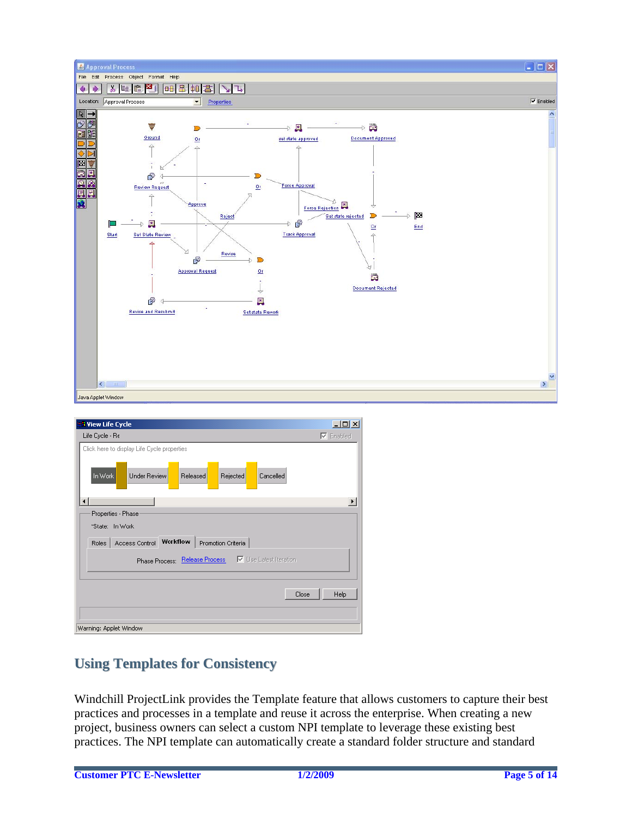

| <b>Wiew Life Cycle</b>                                              | $\Box$ D $\Box$  |
|---------------------------------------------------------------------|------------------|
| Life Cycle - Re                                                     | $\nabla$ Enabled |
| Click here to display Life Cycle properties                         |                  |
| In Work<br><b>Under Review</b><br>Released<br>Rejected<br>Cancelled |                  |
| $\blacktriangleleft$                                                |                  |
| Properties - Phase                                                  |                  |
| "State: In Work                                                     |                  |
| Access Control Workflow<br>Promotion Criteria<br><b>Roles</b>       |                  |
| <b>▽</b> Use Latest Iteration<br>Phase Process: Release Process     |                  |
| Close                                                               | Help             |
|                                                                     |                  |
|                                                                     |                  |
| Warning: Applet Window                                              |                  |

## **Using Templates for Consistency**

Windchill ProjectLink provides the Template feature that allows customers to capture their best practices and processes in a template and reuse it across the enterprise. When creating a new project, business owners can select a custom NPI template to leverage these existing best practices. The NPI template can automatically create a standard folder structure and standard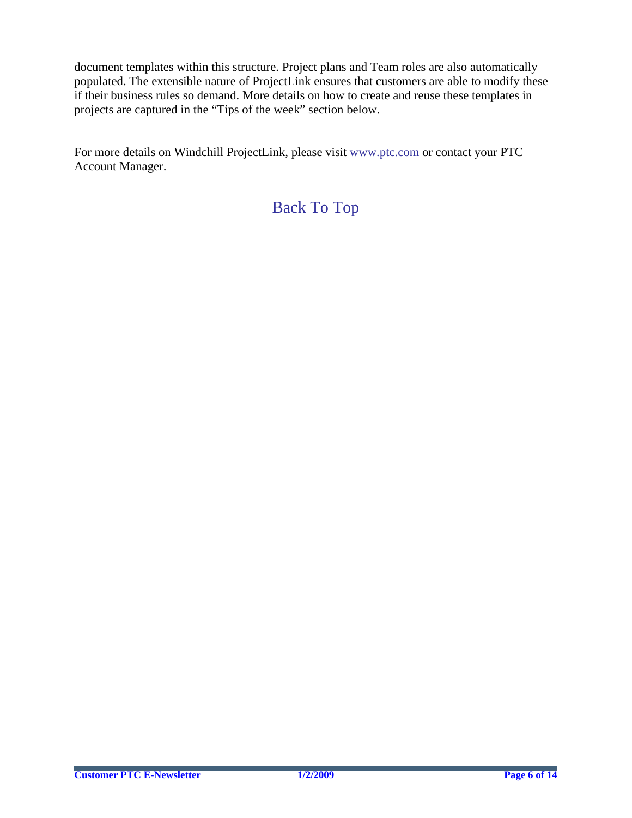document templates within this structure. Project plans and Team roles are also automatically populated. The extensible nature of ProjectLink ensures that customers are able to modify these if their business rules so demand. More details on how to create and reuse these templates in projects are captured in the "Tips of the week" section below.

For more details on Windchill ProjectLink, please visit [www.ptc.com](http://www.ptc.com/) or contact your PTC Account Manager.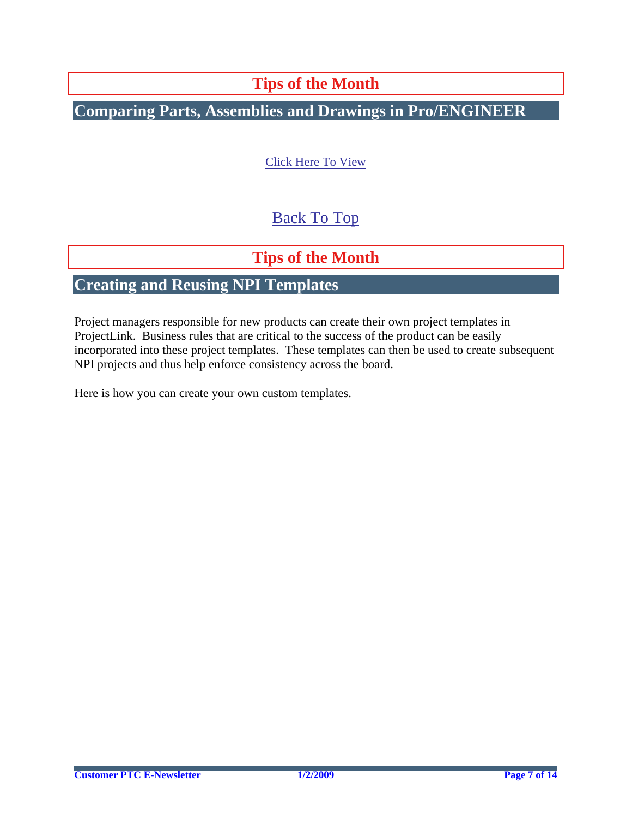# **Tips of the Month**

# <span id="page-6-0"></span>**Comparing Parts, Assemblies and Drawings in Pro/ENGINEER**

### [Click Here To View](http://members.shaw.ca/jpeng/newsletter/PTC_Technical_Specialists_E-Newsletter_01-01-2009_desktop.pdf)

# [Back To Top](#page-0-0)

# **Tips of the Month**

# **Creating and Reusing NPI Templates**

Project managers responsible for new products can create their own project templates in ProjectLink. Business rules that are critical to the success of the product can be easily incorporated into these project templates. These templates can then be used to create subsequent NPI projects and thus help enforce consistency across the board.

Here is how you can create your own custom templates.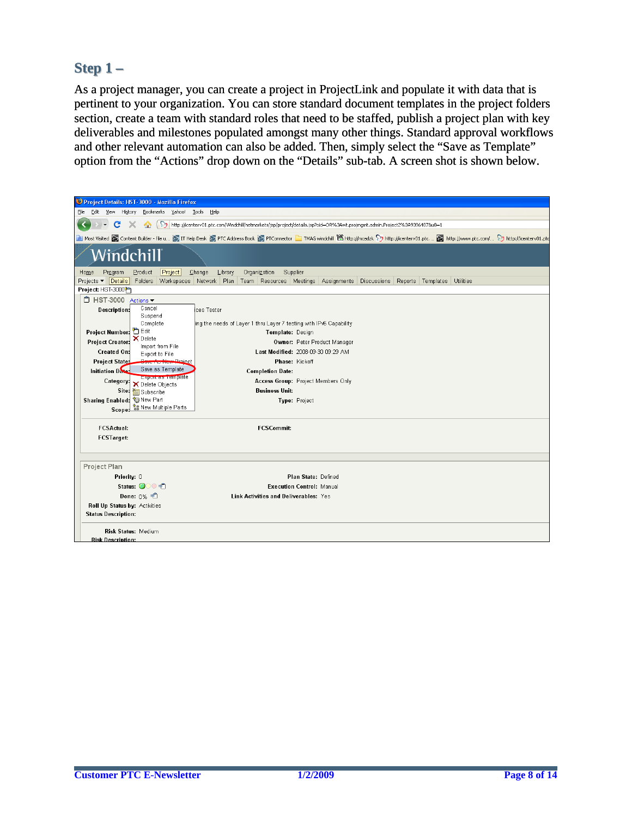### **Step 1 – Step**

As a project manager, you can create a project in ProjectLink and populate it with data that is pertinent to your organization. You can store standard document templates in the project folders section, create a team with standard roles that need to be staffed, publish a project plan with key deliverables and milestones populated amongst many other things. Standard approval workflows and other relevant automation can also be added. Then, simply select the "Save as Template" option from the "Actions" drop down on the "Details" sub-tab. A screen shot is shown below.

| Project Details: HST-3000 - Mozilla Firefox                                                                                    |                                                                                                                                                                                                              |  |  |  |  |  |  |  |
|--------------------------------------------------------------------------------------------------------------------------------|--------------------------------------------------------------------------------------------------------------------------------------------------------------------------------------------------------------|--|--|--|--|--|--|--|
| Edit View<br>History<br>Bookmarks Yahoo! Tools<br>File                                                                         | Help                                                                                                                                                                                                         |  |  |  |  |  |  |  |
| $\mathbf{C}$                                                                                                                   |                                                                                                                                                                                                              |  |  |  |  |  |  |  |
| http://icenterv01.ptc.com/Windchill/netmarkets/jsp/project/details.jsp?oid=OR%3Awt.projmgmt.admin.Project2%3A93964878u8=1<br>令 |                                                                                                                                                                                                              |  |  |  |  |  |  |  |
|                                                                                                                                | A Most Visited & Content Builder - file u (2) IT Help Desk (2) PTC Address Book (2) PTConnector T TMAG windchill 巴 http://mcadzk (2) http://icenterv01.ptc (2) http://www.ptc.com/ (2) http://icenterv01.ptc |  |  |  |  |  |  |  |
| Windchill                                                                                                                      |                                                                                                                                                                                                              |  |  |  |  |  |  |  |
| Program<br>Project<br>Home<br>Product                                                                                          | Change<br>Library<br>Organization<br>Supplier                                                                                                                                                                |  |  |  |  |  |  |  |
| Projects ▼ Details                                                                                                             | Folders Workspaces Network Plan Team Resources Meetings Assignments Discussions Reports Templates Utilities                                                                                                  |  |  |  |  |  |  |  |
| Project: HST-3000P                                                                                                             |                                                                                                                                                                                                              |  |  |  |  |  |  |  |
| □ HST-3000 Actions                                                                                                             |                                                                                                                                                                                                              |  |  |  |  |  |  |  |
| Cancel<br>Description:                                                                                                         | ices Tester                                                                                                                                                                                                  |  |  |  |  |  |  |  |
| Suspend<br>Complete                                                                                                            | ing the needs of Layer 1 thru Layer 7 testing with IPv6 Capability                                                                                                                                           |  |  |  |  |  |  |  |
| <b>P</b> Edit<br>Project Number:                                                                                               | Template: Design                                                                                                                                                                                             |  |  |  |  |  |  |  |
| X Delete<br><b>Project Creator:</b>                                                                                            | Owner: Peter Product Manager                                                                                                                                                                                 |  |  |  |  |  |  |  |
| <b>Created On:</b><br>Export to File                                                                                           | Import from File<br>Last Modified: 2008-09-30 09:29 AM                                                                                                                                                       |  |  |  |  |  |  |  |
| <b>Project State:</b><br><u> Droiect</u>                                                                                       | Phase: Kickoff                                                                                                                                                                                               |  |  |  |  |  |  |  |
| Save as Template<br>Initiation Date:                                                                                           | <b>Completion Date:</b>                                                                                                                                                                                      |  |  |  |  |  |  |  |
| Export as Template<br>Category:                                                                                                | Access Group: Project Members Only                                                                                                                                                                           |  |  |  |  |  |  |  |
| X Delete Objects<br>Site:<br>Subscribe                                                                                         | <b>Business Unit:</b>                                                                                                                                                                                        |  |  |  |  |  |  |  |
| Sharing Enabled: Silew Part                                                                                                    | Type: Project                                                                                                                                                                                                |  |  |  |  |  |  |  |
| Scope: ** New Multiple Parts                                                                                                   |                                                                                                                                                                                                              |  |  |  |  |  |  |  |
|                                                                                                                                |                                                                                                                                                                                                              |  |  |  |  |  |  |  |
| <b>FCSActual:</b>                                                                                                              | <b>FCSCommit:</b>                                                                                                                                                                                            |  |  |  |  |  |  |  |
| <b>FCSTarget:</b>                                                                                                              |                                                                                                                                                                                                              |  |  |  |  |  |  |  |
|                                                                                                                                |                                                                                                                                                                                                              |  |  |  |  |  |  |  |
|                                                                                                                                |                                                                                                                                                                                                              |  |  |  |  |  |  |  |
| Project Plan                                                                                                                   |                                                                                                                                                                                                              |  |  |  |  |  |  |  |
| Priority: 0                                                                                                                    | Plan State: Defined                                                                                                                                                                                          |  |  |  |  |  |  |  |
| Status: $\bigcirc$ $\circ$ $\neq$ $\uparrow$                                                                                   | <b>Execution Control: Manual</b>                                                                                                                                                                             |  |  |  |  |  |  |  |
| Done: $0\%$ = $\hat{=}$<br>Link Activities and Deliverables: Yes                                                               |                                                                                                                                                                                                              |  |  |  |  |  |  |  |
| Roll Up Status by: Activities                                                                                                  |                                                                                                                                                                                                              |  |  |  |  |  |  |  |
| <b>Status Description:</b>                                                                                                     |                                                                                                                                                                                                              |  |  |  |  |  |  |  |
|                                                                                                                                |                                                                                                                                                                                                              |  |  |  |  |  |  |  |
| <b>Risk Status: Medium</b><br><b>Risk Description:</b>                                                                         |                                                                                                                                                                                                              |  |  |  |  |  |  |  |
|                                                                                                                                |                                                                                                                                                                                                              |  |  |  |  |  |  |  |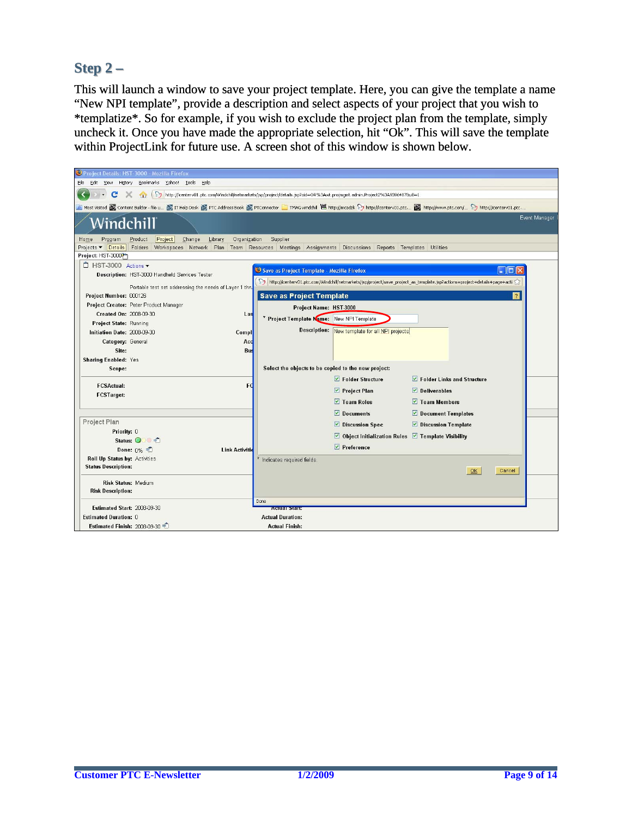### **Step 2 – Step**

This will launch a window to save your project template. Here, you can give the template a name "New NPI template", provide a description and select aspects of your project that you wish to \*templatize\*. So for example, if you wish to exclude the project plan from the template, simply uncheck it. Once you have made the appropriate selection, hit "Ok". This will save the template within ProjectLink for future use. A screen shot of this window is shown below.

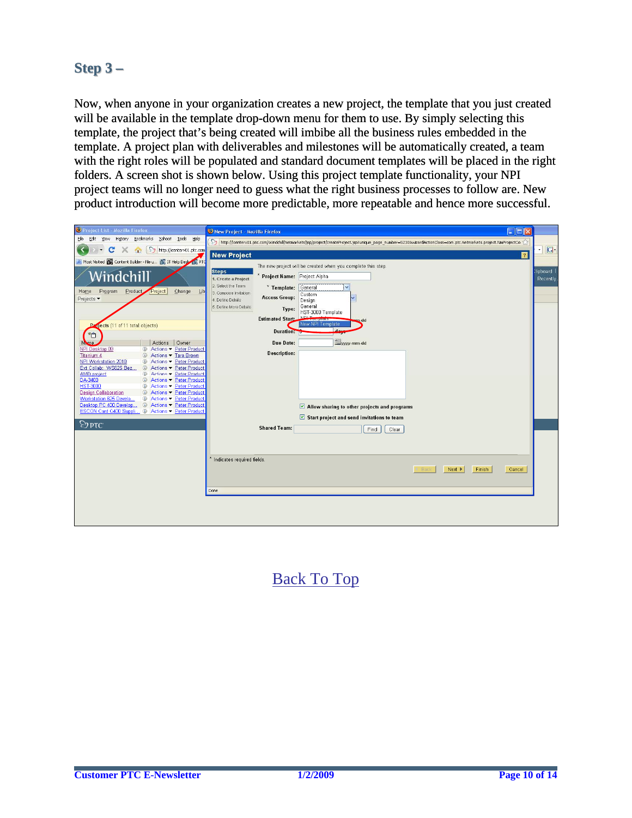## **Step 3 – Step**

Now, when anyone in your organization creates a new project, the template that you just created will be available in the template drop-down menu for them to use. By simply selecting this template, the project that's being created will imbibe all the business rules embedded in the template. A project plan with deliverables and milestones will be automatically created, a team with the right roles will be populated and standard document templates will be placed in the right folders. A screen shot is shown below. Using this project template functionality, your NPI project teams will no longer need to guess what the right business processes to follow are. New product introduction will become more predictable, more repeatable and hence more successful.

| Project List - Mozilla Firefox                                                                                            | New Project - Mozilla Firefox                                                                                                                                 | $\Box$ o $\times$   |
|---------------------------------------------------------------------------------------------------------------------------|---------------------------------------------------------------------------------------------------------------------------------------------------------------|---------------------|
| Yahoo! Tools Help<br>Eile<br>Edit<br>History<br>Bookmarks<br>View                                                         | http://icenterv01.ptc.com/Windchill/netmarkets/jsp/project/createProject.jsp?unique_page_number=5230&wizardActionClass=com.ptc.netmarkets.project.NmProjectCo |                     |
| $\mathcal{D}$<br>c<br>http://icenterv01.ptc.com<br><b>CRI</b>                                                             | <b>New Project</b>                                                                                                                                            | $G -$<br>$\sqrt{2}$ |
| Most Visited <b>Co</b> Content Builder - file u <b>Co</b> IT Help Desk (C) PTO                                            |                                                                                                                                                               |                     |
|                                                                                                                           | The new project will be created when you complete this step.<br><b>Steps</b>                                                                                  | lipboard            |
| Windchill                                                                                                                 | * Project Name: Project Alpha<br>1. Create a Project                                                                                                          | Recently            |
| Product<br>Project<br>Change<br>Program<br>Lib<br>Home                                                                    | 2. Select the Team<br>General<br>* Template:<br>$\checkmark$<br>3. Compose Invitation                                                                         |                     |
| Projects $\blacktriangledown$                                                                                             | Custom<br><b>Access Group:</b><br>4. Define Details<br>Design                                                                                                 |                     |
|                                                                                                                           | General<br>5. Define More Details<br>Type:<br>HST-3000 Template                                                                                               |                     |
|                                                                                                                           | NDLT.<br><b>Estimated Start:</b><br><b>TENNISSION</b><br>m-dd                                                                                                 |                     |
| Projects (11 of 11 total objects)                                                                                         | New NPI Template<br>$\mathbf{d}$<br>Duration:                                                                                                                 |                     |
| *0                                                                                                                        |                                                                                                                                                               |                     |
| Actions Owner<br>Name.<br>NPI Desktop 09<br><b>4</b> Actions ▼ Peter Product                                              | www-mm-dd<br><b>Due Date:</b>                                                                                                                                 |                     |
| Titanium 4<br><b>1</b> Actions ▼ Tara Brown                                                                               | <b>Description:</b>                                                                                                                                           |                     |
| Actions · Peter Product<br>NPI Workstation 2010<br>G)<br>Ext Collab: WS625 Bez<br><b><i>G</i></b> Actions ▼ Peter Product |                                                                                                                                                               |                     |
| <b>① Actions ▼ Peter Product</b><br><b>AMD</b> project                                                                    |                                                                                                                                                               |                     |
| 4 Actions - Peter Product<br>DA-3400<br><b>HST-3000</b><br>Actions - Peter Product<br>$\circledcirc$                      |                                                                                                                                                               |                     |
| <b><i>O</i></b> Actions ▼ Peter Product<br><b>Design Collaboration</b>                                                    |                                                                                                                                                               |                     |
| Workstation 625 Develo<br><b>C</b> Actions • Peter Product<br>Desktop PC 400 Develop<br>4 Actions - Peter Product         | Allow sharing to other projects and programs                                                                                                                  |                     |
| ESCON Card C400 Suppli 4 Actions - Peter Product                                                                          |                                                                                                                                                               |                     |
| $\otimes$ ptc                                                                                                             | $\triangleright$ Start project and send invitations to team                                                                                                   |                     |
|                                                                                                                           | <b>Shared Team:</b><br>Clear<br>Find                                                                                                                          |                     |
|                                                                                                                           |                                                                                                                                                               |                     |
|                                                                                                                           |                                                                                                                                                               |                     |
|                                                                                                                           | Indicates required fields.                                                                                                                                    |                     |
|                                                                                                                           | 4 Back<br>Next $\blacktriangleright$<br>Finish                                                                                                                | Cancel              |
|                                                                                                                           |                                                                                                                                                               |                     |
|                                                                                                                           | Done                                                                                                                                                          |                     |
|                                                                                                                           |                                                                                                                                                               |                     |
|                                                                                                                           |                                                                                                                                                               |                     |
|                                                                                                                           |                                                                                                                                                               |                     |
|                                                                                                                           |                                                                                                                                                               |                     |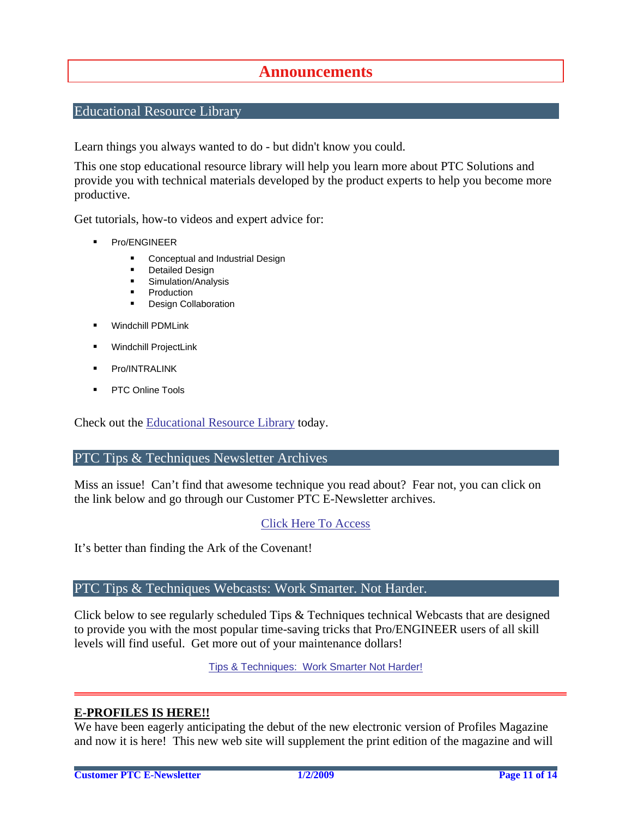## **Announcements**

### <span id="page-10-0"></span>Educational Resource Library

Learn things you always wanted to do - but didn't know you could.

This one stop educational resource library will help you learn more about PTC Solutions and provide you with technical materials developed by the product experts to help you become more productive.

Get tutorials, how-to videos and expert advice for:

- **Pro/ENGINEER** 
	- **EXECONCEPT** Conceptual and Industrial Design
	- **•** Detailed Design
	- **Simulation/Analysis**
	- Production
	- Design Collaboration
- Windchill PDMLink
- Windchill ProjectLink
- Pro/INTRALINK
- PTC Online Tools

Check out the [Educational Resource Library](http://www.ptc.com/community/proewf/newtools/tutorials.htm) today.

#### PTC Tips & Techniques Newsletter Archives

Miss an issue! Can't find that awesome technique you read about? Fear not, you can click on the link below and go through our Customer PTC E-Newsletter archives.

#### [Click Here To Access](http://www.ptc.com/carezone/archive/index.htm)

It's better than finding the Ark of the Covenant!

#### PTC Tips & Techniques Webcasts: Work Smarter. Not Harder.

Click below to see regularly scheduled Tips & Techniques technical Webcasts that are designed to provide you with the most popular time-saving tricks that Pro/ENGINEER users of all skill levels will find useful. Get more out of your maintenance dollars!

[Tips & Techniques: Work Smarter Not Harder!](http://www.ptc.com/appserver/it/icm/cda/template_lib/events/series.jsp?&im_dbkey=11442&icg_dbkey=141)

#### **E-PROFILES IS HERE!!**

We have been eagerly anticipating the debut of the new electronic version of Profiles Magazine and now it is here! This new web site will supplement the print edition of the magazine and will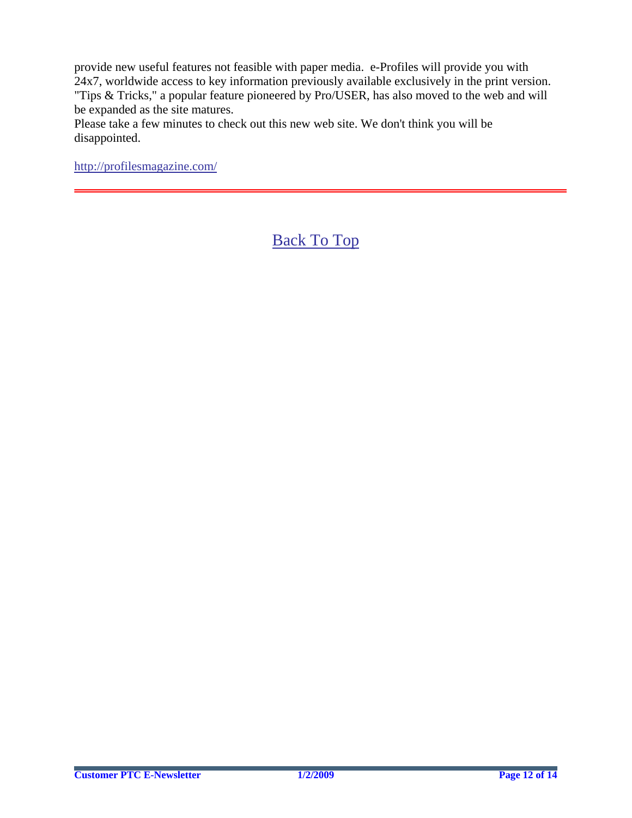provide new useful features not feasible with paper media. e-Profiles will provide you with 24x7, worldwide access to key information previously available exclusively in the print version. "Tips & Tricks," a popular feature pioneered by Pro/USER, has also moved to the web and will be expanded as the site matures.

Please take a few minutes to check out this new web site. We don't think you will be disappointed.

<http://profilesmagazine.com/>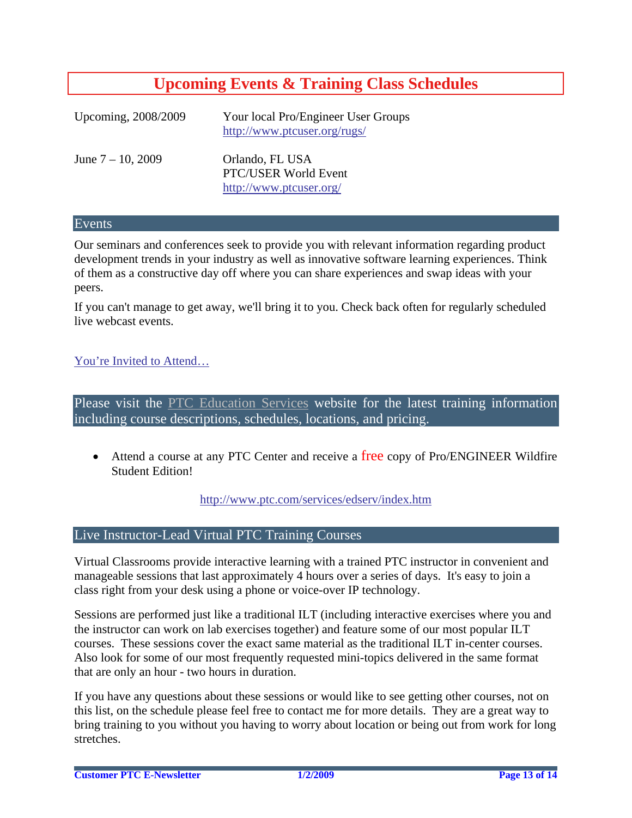# **Upcoming Events & Training Class Schedules**

<span id="page-12-0"></span>

| Upcoming, 2008/2009  | Your local Pro/Engineer User Groups<br>http://www.ptcuser.org/rugs/ |
|----------------------|---------------------------------------------------------------------|
| June $7 - 10$ , 2009 | Orlando, FL USA<br>PTC/USER World Event<br>http://www.ptcuser.org/  |

#### Events

Our seminars and conferences seek to provide you with relevant information regarding product development trends in your industry as well as innovative software learning experiences. Think of them as a constructive day off where you can share experiences and swap ideas with your peers.

If you can't manage to get away, we'll bring it to you. Check back often for regularly scheduled live webcast events.

### [You're Invited to Attend…](http://www.ptc.com/company/news/events/index.htm)

Please visit the [PTC Education Services](http://www.ptc.com/services/edserv/) website for the latest training information including course descriptions, schedules, locations, and pricing.

• Attend a course at any PTC Center and receive a free copy of Pro/ENGINEER Wildfire Student Edition!

<http://www.ptc.com/services/edserv/index.htm>

#### Live Instructor-Lead Virtual PTC Training Courses

Virtual Classrooms provide interactive learning with a trained PTC instructor in convenient and manageable sessions that last approximately 4 hours over a series of days. It's easy to join a class right from your desk using a phone or voice-over IP technology.

Sessions are performed just like a traditional ILT (including interactive exercises where you and the instructor can work on lab exercises together) and feature some of our most popular ILT courses. These sessions cover the exact same material as the traditional ILT in-center courses. Also look for some of our most frequently requested mini-topics delivered in the same format that are only an hour - two hours in duration.

If you have any questions about these sessions or would like to see getting other courses, not on this list, on the schedule please feel free to contact me for more details. They are a great way to bring training to you without you having to worry about location or being out from work for long stretches.